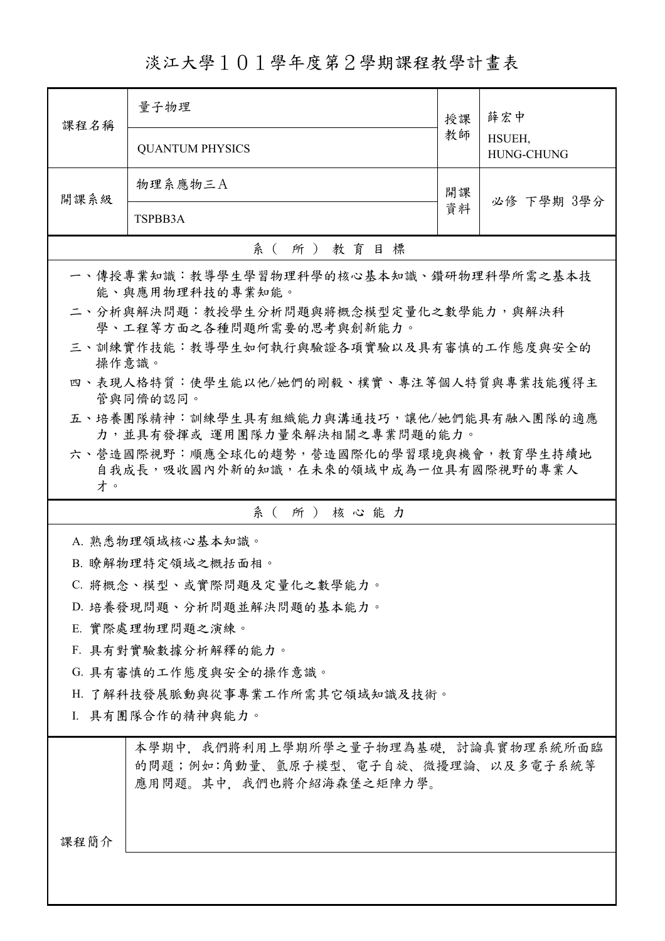淡江大學101學年度第2學期課程教學計畫表

| 課程名稱                      | 量子物理                                                                                                  | 授課 | 薛宏中               |  |  |
|---------------------------|-------------------------------------------------------------------------------------------------------|----|-------------------|--|--|
|                           |                                                                                                       | 教師 | HSUEH,            |  |  |
|                           | <b>QUANTUM PHYSICS</b>                                                                                |    | <b>HUNG-CHUNG</b> |  |  |
|                           | 物理系應物三A                                                                                               | 開課 |                   |  |  |
| 開課系級                      |                                                                                                       | 資料 | 必修 下學期 3學分        |  |  |
|                           | TSPBB3A                                                                                               |    |                   |  |  |
|                           | 系 ( 所 ) 教育目標                                                                                          |    |                   |  |  |
|                           | 一、傳授專業知識:教導學生學習物理科學的核心基本知識、鑽研物理科學所需之基本技<br>能、與應用物理科技的專業知能。                                            |    |                   |  |  |
|                           | 二、分析與解決問題:教授學生分析問題與將概念模型定量化之數學能力,與解決科<br>學、工程等方面之各種問題所需要的思考與創新能力。                                     |    |                   |  |  |
| 操作意識。                     | 三、訓練實作技能:教導學生如何執行與驗證各項實驗以及具有審慎的工作態度與安全的                                                               |    |                   |  |  |
|                           | 四、表現人格特質:使學生能以他/她們的剛毅、樸實、專注等個人特質與專業技能獲得主<br>管與同儕的認同。                                                  |    |                   |  |  |
|                           | 五、培養團隊精神:訓練學生具有組織能力與溝通技巧,讓他/她們能具有融入團隊的適應                                                              |    |                   |  |  |
|                           | 力,並具有發揮或 運用團隊力量來解決相關之專業問題的能力。<br>六、營造國際視野:順應全球化的趨勢,營造國際化的學習環境與機會,教育學生持續地                              |    |                   |  |  |
| 才。                        | 自我成長,吸收國內外新的知識,在未來的領域中成為一位具有國際視野的專業人                                                                  |    |                   |  |  |
|                           | 系(所)核心能力                                                                                              |    |                   |  |  |
|                           | A. 熟悉物理領域核心基本知識。                                                                                      |    |                   |  |  |
|                           | B. 瞭解物理特定領域之概括面相。                                                                                     |    |                   |  |  |
| C. 將概念、模型、或實際問題及定量化之數學能力。 |                                                                                                       |    |                   |  |  |
| D. 培養發現問題、分析問題並解決問題的基本能力。 |                                                                                                       |    |                   |  |  |
| E. 實際處理物理問題之演練。           |                                                                                                       |    |                   |  |  |
|                           | F. 具有對實驗數據分析解釋的能力。                                                                                    |    |                   |  |  |
|                           | G. 具有審慎的工作態度與安全的操作意識。                                                                                 |    |                   |  |  |
|                           | H. 了解科技發展脈動與從事專業工作所需其它領域知識及技術。                                                                        |    |                   |  |  |
| I. 具有團隊合作的精神與能力。          |                                                                                                       |    |                   |  |  |
|                           |                                                                                                       |    |                   |  |  |
|                           | 本學期中,我們將利用上學期所學之量子物理為基礎,討論真實物理系統所面臨<br>的問題;例如:角動量、氫原子模型、電子自旋、微擾理論、以及多電子系統等<br>應用問題。其中,我們也將介紹海森堡之矩陣力學。 |    |                   |  |  |
|                           |                                                                                                       |    |                   |  |  |
| 課程簡介                      |                                                                                                       |    |                   |  |  |
|                           |                                                                                                       |    |                   |  |  |
|                           |                                                                                                       |    |                   |  |  |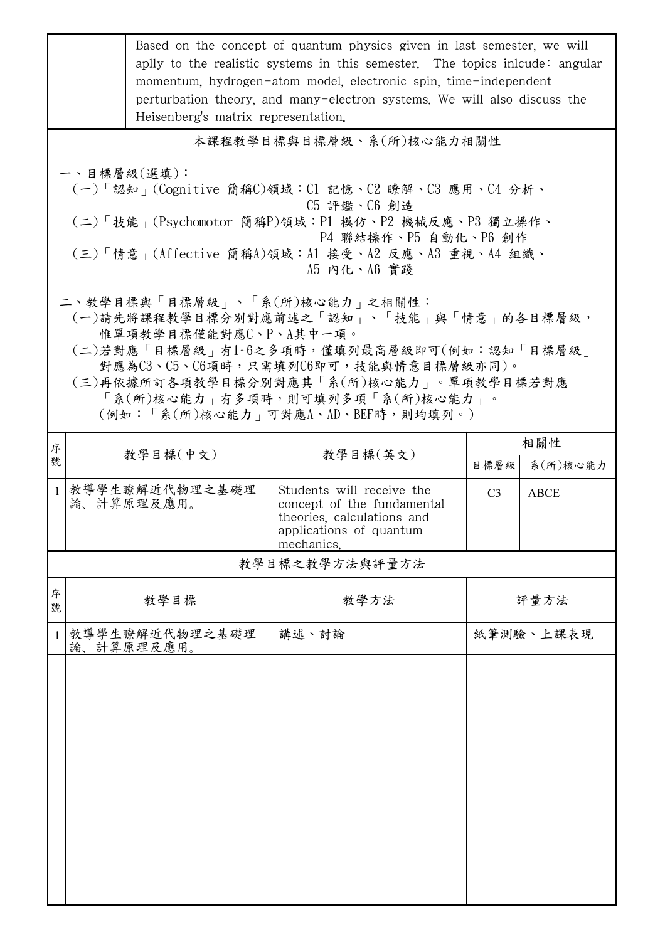|                                                                                                                                                                                                                                  | Based on the concept of quantum physics given in last semester, we will<br>aplly to the realistic systems in this semester. The topics inicude: angular<br>momentum, hydrogen-atom model, electronic spin, time-independent<br>perturbation theory, and many-electron systems. We will also discuss the<br>Heisenberg's matrix representation. |                                                                                                                                |                |                 |  |  |  |
|----------------------------------------------------------------------------------------------------------------------------------------------------------------------------------------------------------------------------------|------------------------------------------------------------------------------------------------------------------------------------------------------------------------------------------------------------------------------------------------------------------------------------------------------------------------------------------------|--------------------------------------------------------------------------------------------------------------------------------|----------------|-----------------|--|--|--|
|                                                                                                                                                                                                                                  | 本課程教學目標與目標層級、系(所)核心能力相關性                                                                                                                                                                                                                                                                                                                       |                                                                                                                                |                |                 |  |  |  |
| 一、目標層級(選填):<br>(一)「認知」(Cognitive 簡稱C)領域:Cl 記憶、C2 瞭解、C3 應用、C4 分析、<br>C5 評鑑、C6 創造<br>(二)「技能」(Psychomotor 簡稱P)領域:P1 模仿、P2 機械反應、P3 獨立操作、<br>P4 聯結操作、P5 自動化、P6 創作<br>(三)「情意」(Affective 簡稱A)領域:A1 接受、A2 反應、A3 重視、A4 組織、<br>A5 内化、A6 實踐 |                                                                                                                                                                                                                                                                                                                                                |                                                                                                                                |                |                 |  |  |  |
|                                                                                                                                                                                                                                  | 二、教學目標與「目標層級」、「系(所)核心能力」之相關性:<br>(一)請先將課程教學目標分別對應前述之「認知」、「技能」與「情意」的各目標層級,<br>惟單項教學目標僅能對應C、P、A其中一項。<br>(二)若對應「目標層級」有1~6之多項時,僅填列最高層級即可(例如:認知「目標層級」<br>對應為C3、C5、C6項時,只需填列C6即可,技能與情意目標層級亦同)。<br>(三)再依據所訂各項教學目標分別對應其「系(所)核心能力」。單項教學目標若對應<br>「系(所)核心能力」有多項時,則可填列多項「系(所)核心能力」。<br>(例如:「系(所)核心能力   可對應A、AD、BEF時,則均填列。)                                 |                                                                                                                                |                |                 |  |  |  |
| 序<br>號                                                                                                                                                                                                                           | 教學目標(中文)                                                                                                                                                                                                                                                                                                                                       | 教學目標(英文)                                                                                                                       | 目標層級           | 相關性<br>系(所)核心能力 |  |  |  |
| $\mathbf{1}$                                                                                                                                                                                                                     | 教導學生瞭解近代物理之基礎理<br>論、計算原理及應用。                                                                                                                                                                                                                                                                                                                   | Students will receive the<br>concept of the fundamental<br>theories, calculations and<br>applications of quantum<br>mechanics. | C <sub>3</sub> | <b>ABCE</b>     |  |  |  |
| 教學目標之教學方法與評量方法                                                                                                                                                                                                                   |                                                                                                                                                                                                                                                                                                                                                |                                                                                                                                |                |                 |  |  |  |
| 序<br>號                                                                                                                                                                                                                           | 教學目標                                                                                                                                                                                                                                                                                                                                           | 教學方法                                                                                                                           |                | 評量方法            |  |  |  |
| 1                                                                                                                                                                                                                                | 教導學生瞭解近代物理之基礎理<br>論、計算原理及應用。                                                                                                                                                                                                                                                                                                                   | 講述、討論                                                                                                                          |                | 紙筆測驗、上課表現       |  |  |  |
|                                                                                                                                                                                                                                  |                                                                                                                                                                                                                                                                                                                                                |                                                                                                                                |                |                 |  |  |  |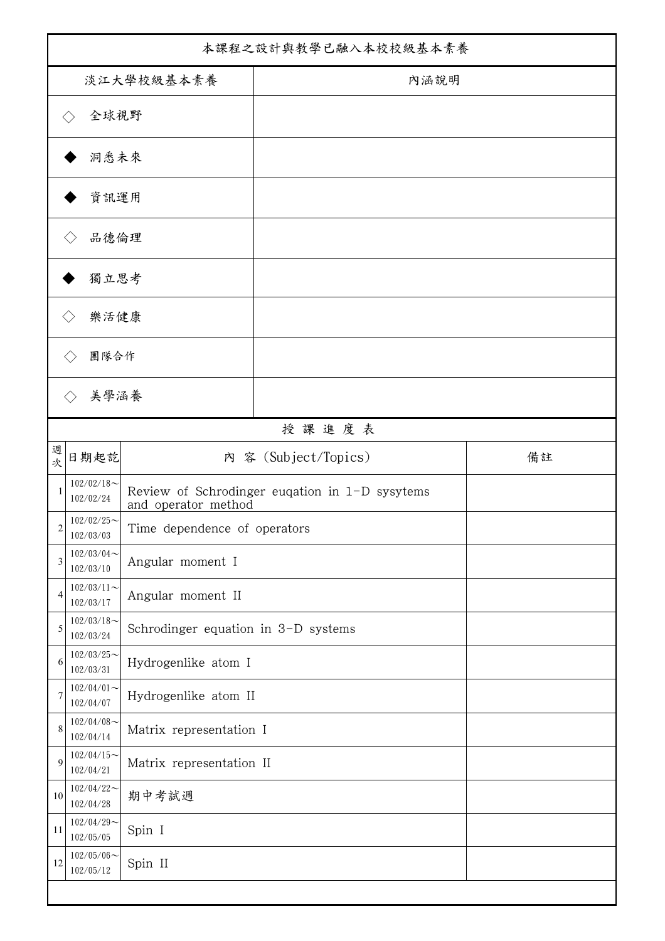| 本課程之設計與教學已融入本校校級基本素養 |                            |                                     |                                                |    |
|----------------------|----------------------------|-------------------------------------|------------------------------------------------|----|
| 淡江大學校級基本素養           |                            |                                     | 內涵說明                                           |    |
|                      | 全球視野                       |                                     |                                                |    |
|                      | 洞悉未來                       |                                     |                                                |    |
|                      | 資訊運用                       |                                     |                                                |    |
| 品德倫理                 |                            |                                     |                                                |    |
| 獨立思考                 |                            |                                     |                                                |    |
|                      | 樂活健康                       |                                     |                                                |    |
|                      | 團隊合作                       |                                     |                                                |    |
|                      | 美學涵養                       |                                     |                                                |    |
|                      |                            |                                     | 授課進度表                                          |    |
| 週<br>次               | 日期起訖                       |                                     | 內 容 (Subject/Topics)                           | 備註 |
| 1                    | $102/02/18$ ~<br>102/02/24 | and operator method                 | Review of Schrodinger eugation in 1-D sysytems |    |
| $\overline{2}$       | $102/02/25$ ~<br>102/03/03 | Time dependence of operators        |                                                |    |
| 3                    | $102/03/04$ ~<br>102/03/10 | Angular moment I                    |                                                |    |
| 4                    | $102/03/11$ ~<br>102/03/17 | Angular moment II                   |                                                |    |
| 5                    | $102/03/18$ ~<br>102/03/24 | Schrodinger equation in 3-D systems |                                                |    |
| 6                    | $102/03/25$ ~<br>102/03/31 | Hydrogenlike atom I                 |                                                |    |
| 7                    | $102/04/01$ ~<br>102/04/07 | Hydrogenlike atom II                |                                                |    |
| 8                    | $102/04/08$ ~<br>102/04/14 | Matrix representation I             |                                                |    |
| 9                    | $102/04/15$ ~<br>102/04/21 | Matrix representation II            |                                                |    |
| 10                   | $102/04/22$ ~<br>102/04/28 | 期中考試週                               |                                                |    |
| 11                   | $102/04/29$ ~<br>102/05/05 | Spin I                              |                                                |    |
| 12                   | $102/05/06$ ~<br>102/05/12 | Spin II                             |                                                |    |
|                      |                            |                                     |                                                |    |